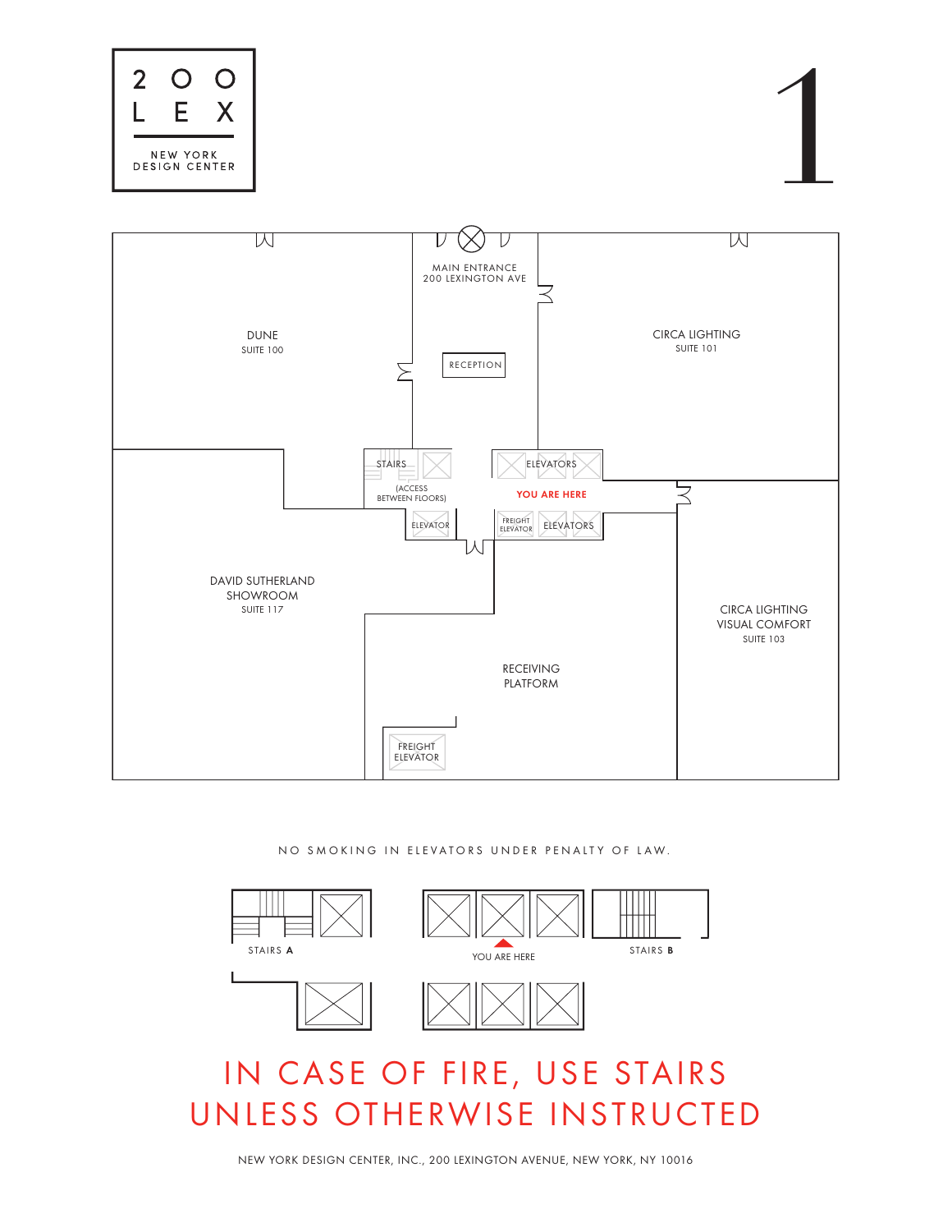NO SMOKING IN ELEVATORS UNDER PENALTY OF LAW.











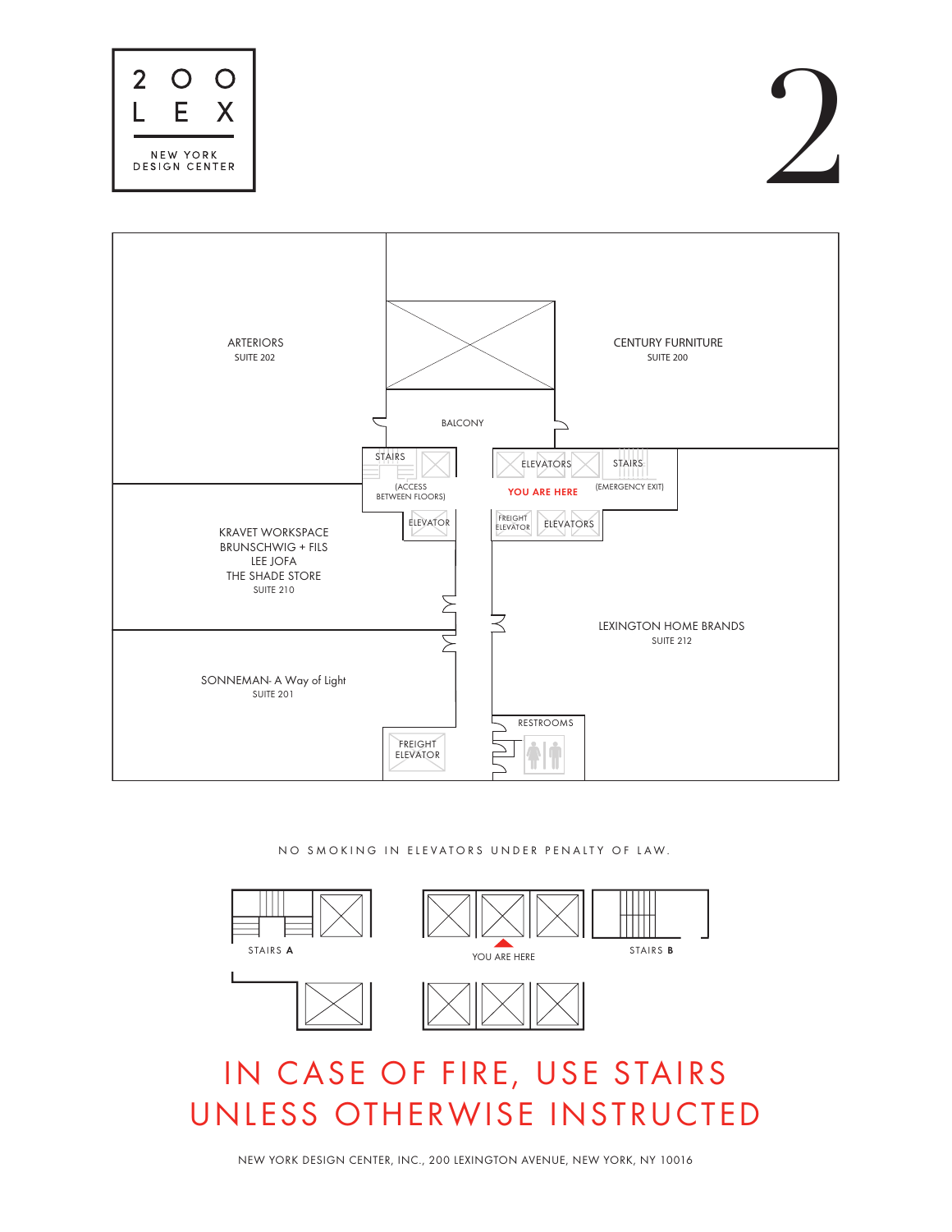NEW YORK DESIGN CENTER, INC., 200 LEXINGTON AVENUE, NEW YORK, NY 10016











#### NO SMOKING IN ELEVATORS UNDER PENALTY OF LAW.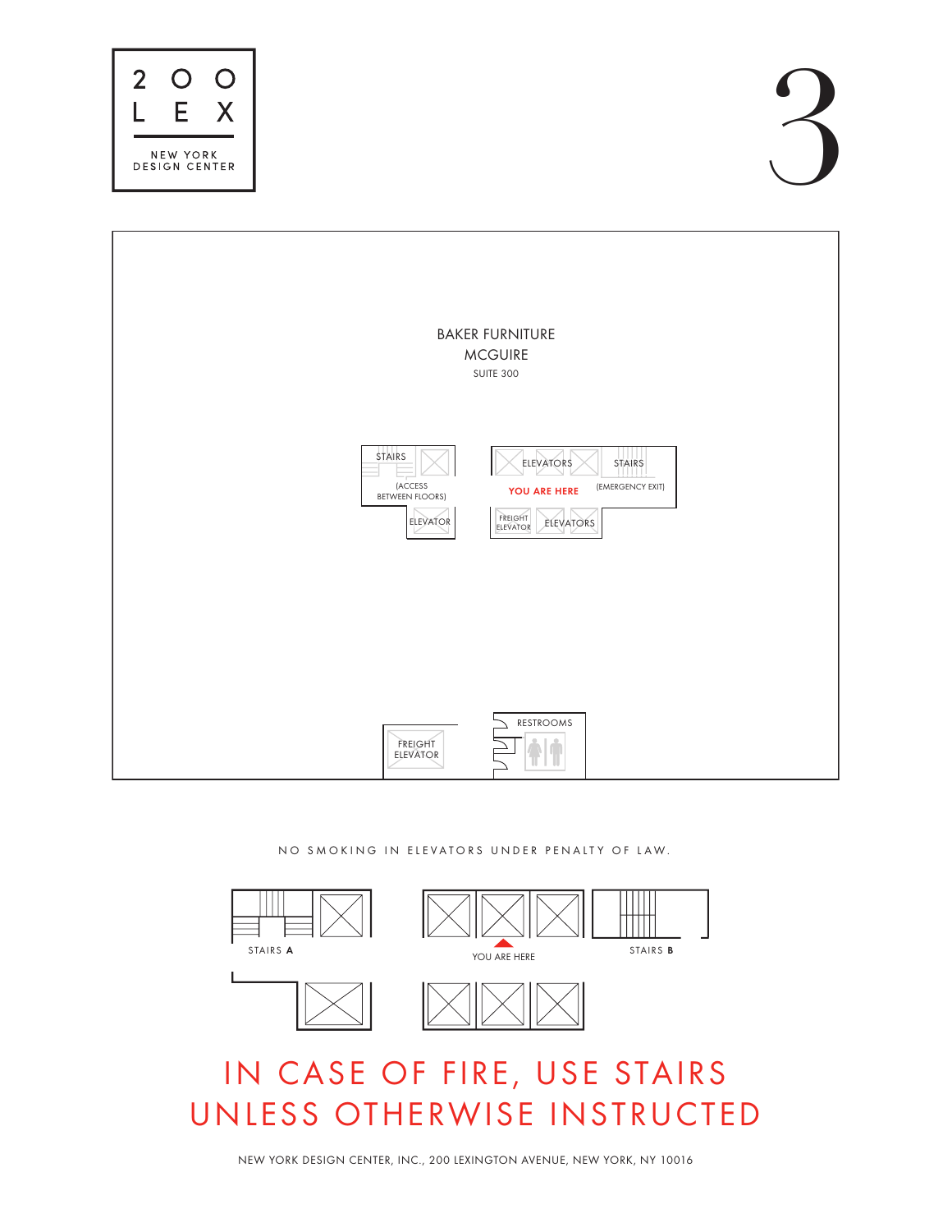#### NO SMOKING IN ELEVATORS UNDER PENALTY OF LAW.

NEW YORK DESIGN CENTER, INC., 200 LEXINGTON AVENUE, NEW YORK, NY 10016









# BAKER FURNITURE **MCGUIRE** SUITE 300 STAIRS  $\|\times\|$  ELEVATORS  $\|\times\|$  stairs (ACCESS **YOU ARE HERE** (EMERGENCY EXIT) **BETWEEN FLOORS)** FREIGHT ELEVATOR **ELEVATORS** ELEVATOR

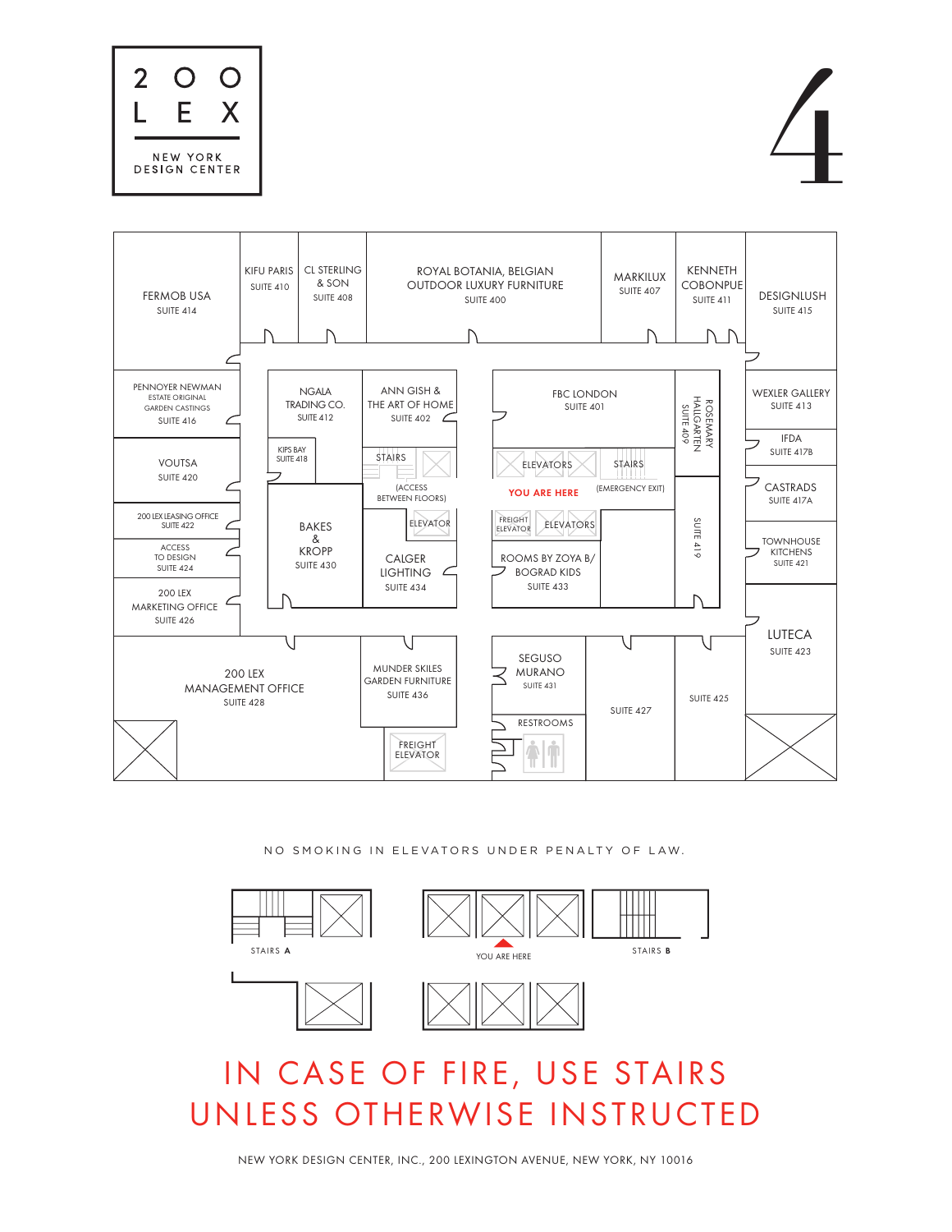NO SMOKING IN ELEVATORS UNDER PENALTY OF LAW.









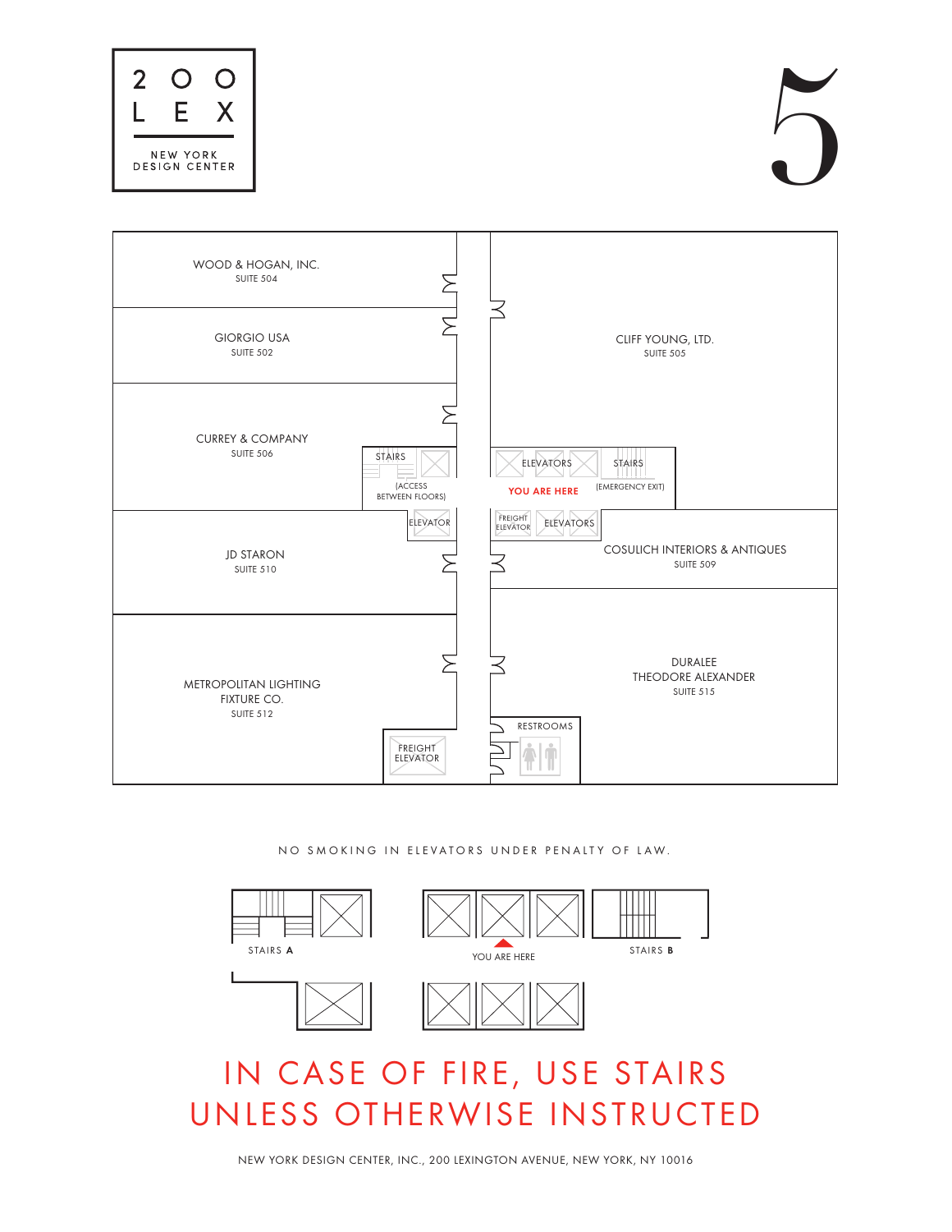NO SMOKING IN ELEVATORS UNDER PENALTY OF LAW.









| WOOD & HOGAN, INC.<br><b>SUITE 504</b>          |                                                           |                                                                                                                |
|-------------------------------------------------|-----------------------------------------------------------|----------------------------------------------------------------------------------------------------------------|
| <b>GIORGIO USA</b><br><b>SUITE 502</b>          |                                                           | CLIFF YOUNG, LTD.<br><b>SUITE 505</b>                                                                          |
| <b>CURREY &amp; COMPANY</b><br><b>SUITE 506</b> | <b>STAIRS</b><br><b>(ACCESS</b><br><b>BETWEEN FLOORS)</b> | <b>STAIRS</b><br><b>ELEVATORS</b><br>(EMERGENCY EXIT)<br><b>YOU ARE HERE</b>                                   |
| <b>JD STARON</b><br><b>SUITE 510</b>            | ELEVATOR                                                  | <b>FREIGHT</b><br><b>ELEVATORS</b><br>ELEVATOR<br><b>COSULICH INTERIORS &amp; ANTIQUES</b><br><b>SUITE 509</b> |
| METROPOLITAN LIGHTING<br>FIXTURE CO.            |                                                           | <b>DURALEE</b><br><b>THEODORE ALEXANDER</b><br><b>SUITE 515</b>                                                |

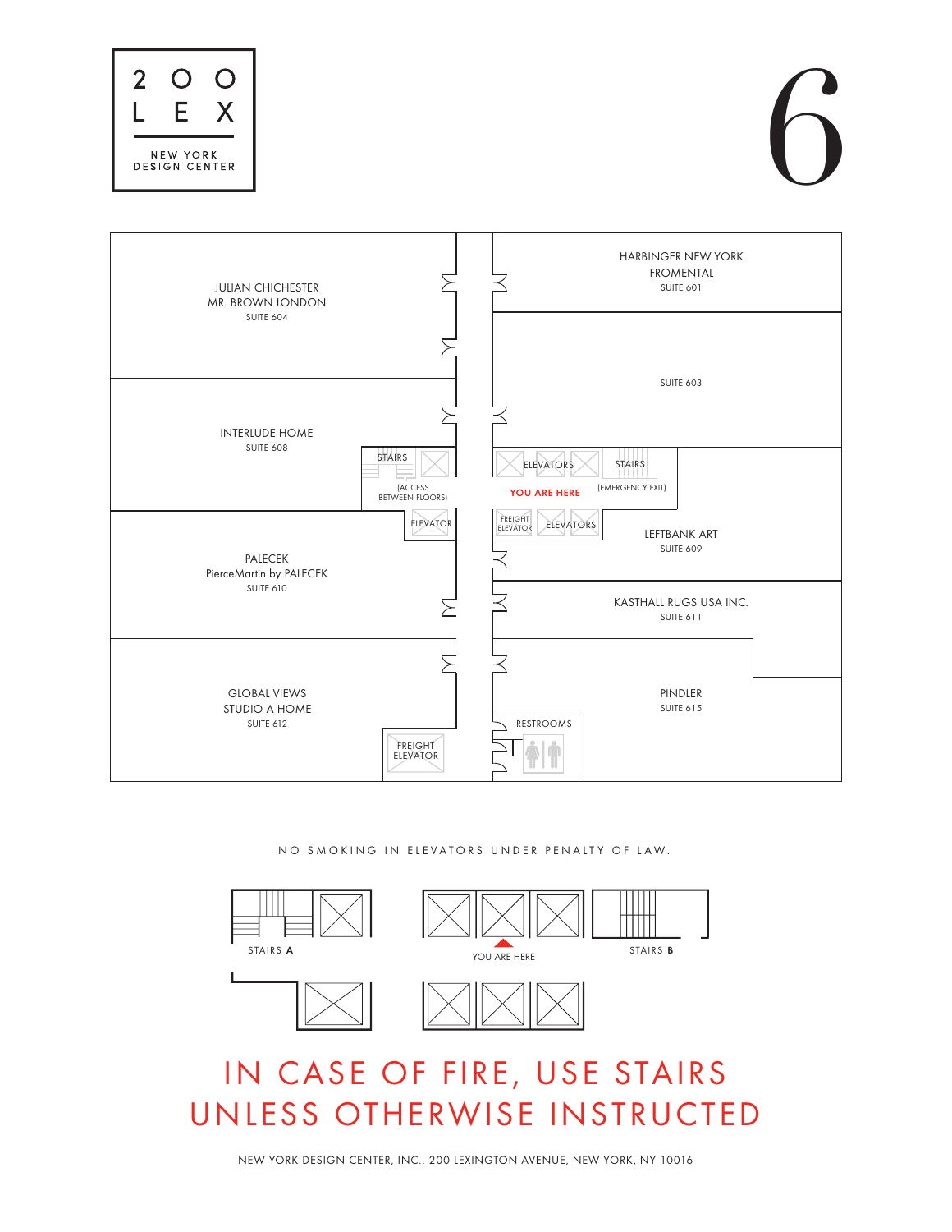

# 6

# IN CASE OF FIRE, USE STAIRS UNLESS OTHERWISE INSTRUCTED

NO SMOKING IN ELEVATORS UNDER PENALTY OF LAW.





| <b>JULIAN CHICHESTER</b><br>MR. BROWN LONDON | <b>HARBINGER NEW YORK</b><br><b>FROMENTAL</b><br>SUITE 601                                                        |
|----------------------------------------------|-------------------------------------------------------------------------------------------------------------------|
| SUITE 604                                    |                                                                                                                   |
|                                              | SUITE 603                                                                                                         |
| <b>INTERLUDE HOME</b><br>SUITE 608<br>STAIRS | <b>ELEVATORS</b><br><b>STAIRS</b><br><b>(ACCESS</b><br>(EMERGENCY EXIT)<br>YOU ARE HERE<br><b>BETWEEN FLOORS)</b> |
| <b>PALECEK</b><br>PierceMartin by PALECEK    | FREIGHT<br>ELEVATOR<br><b>ELEVATORS</b><br>ELEVATOR<br><b>LEFTBANK ART</b><br>SUITE 609                           |
| SUITE 610                                    | KASTHALL RUGS USA INC.<br>SUITE 611                                                                               |
|                                              |                                                                                                                   |
| <b>GLOBAL VIEWS</b>                          | PINDLER                                                                                                           |

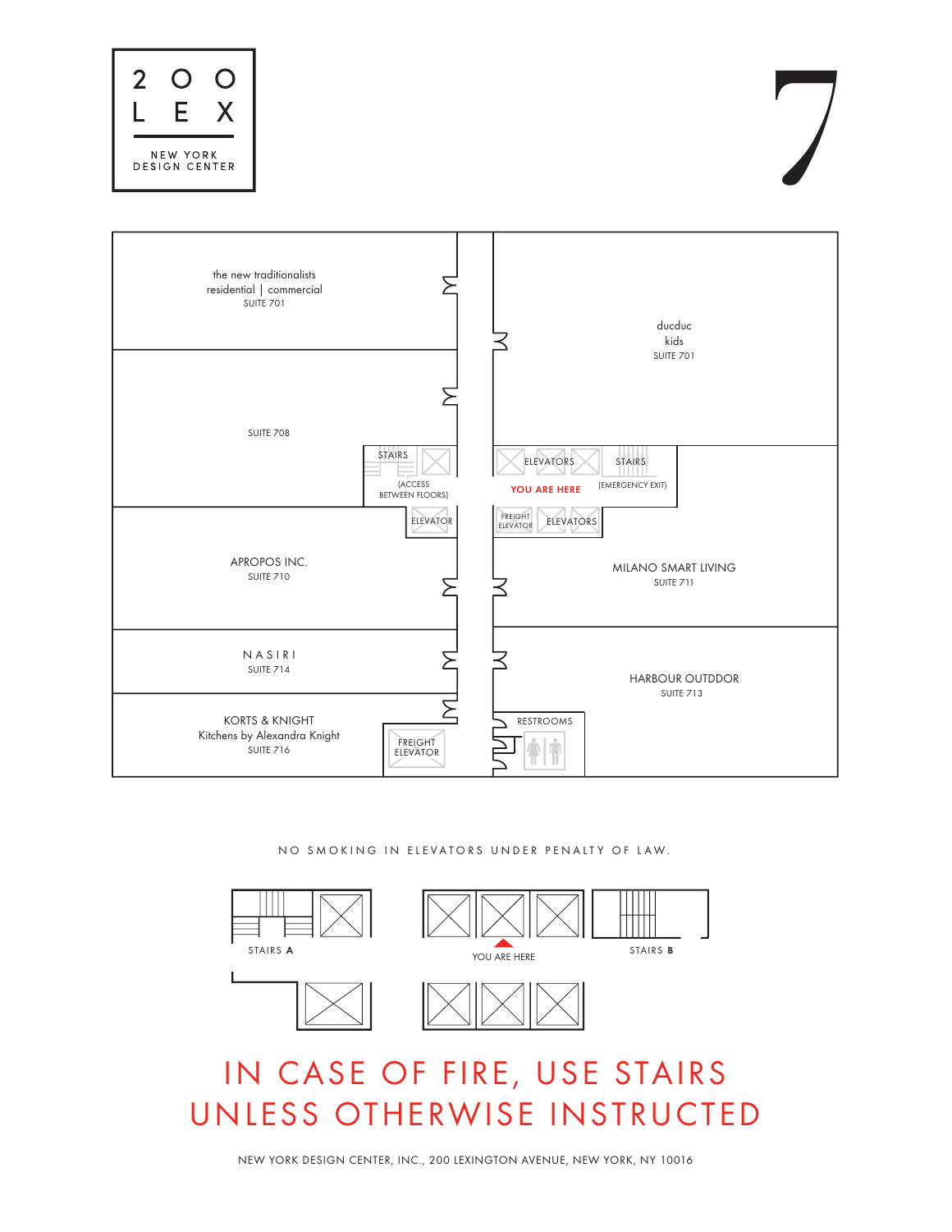NO SMOKING IN ELEVATORS UNDER PENALTY OF LAW.

NEW YORK DESIGN CENTER, INC., 200 LEXINGTON AVENUE, NEW YORK, NY 10016





SUITE 713



| $\overline{2}$<br>EX<br>NEW YORK<br>DESIGN CENTER                       |                                                    |                                                                                           |
|-------------------------------------------------------------------------|----------------------------------------------------|-------------------------------------------------------------------------------------------|
| the new traditionalists<br>residential   commercial<br><b>SUITE 701</b> |                                                    | ducduc<br>kids                                                                            |
| SUITE 708                                                               | STAIRS<br><b>(ACCESS</b><br><b>BETWEEN FLOORS)</b> | <b>SUITE 701</b><br><b>ELEVATORS</b><br><b>STAIRS</b><br>(EMERGENCY EXIT)<br>YOU ARE HERE |
| APROPOS INC.<br><b>SUITE 710</b>                                        | <b>ELEVATOR</b>                                    | FREIGHT<br>ELEVATORS<br>ELEVATOR<br>MILANO SMART LIVING<br>SUITE 711                      |
| NASIRI<br><b>SUITE 714</b>                                              |                                                    | <b>HARBOUR OUTDDOR</b>                                                                    |





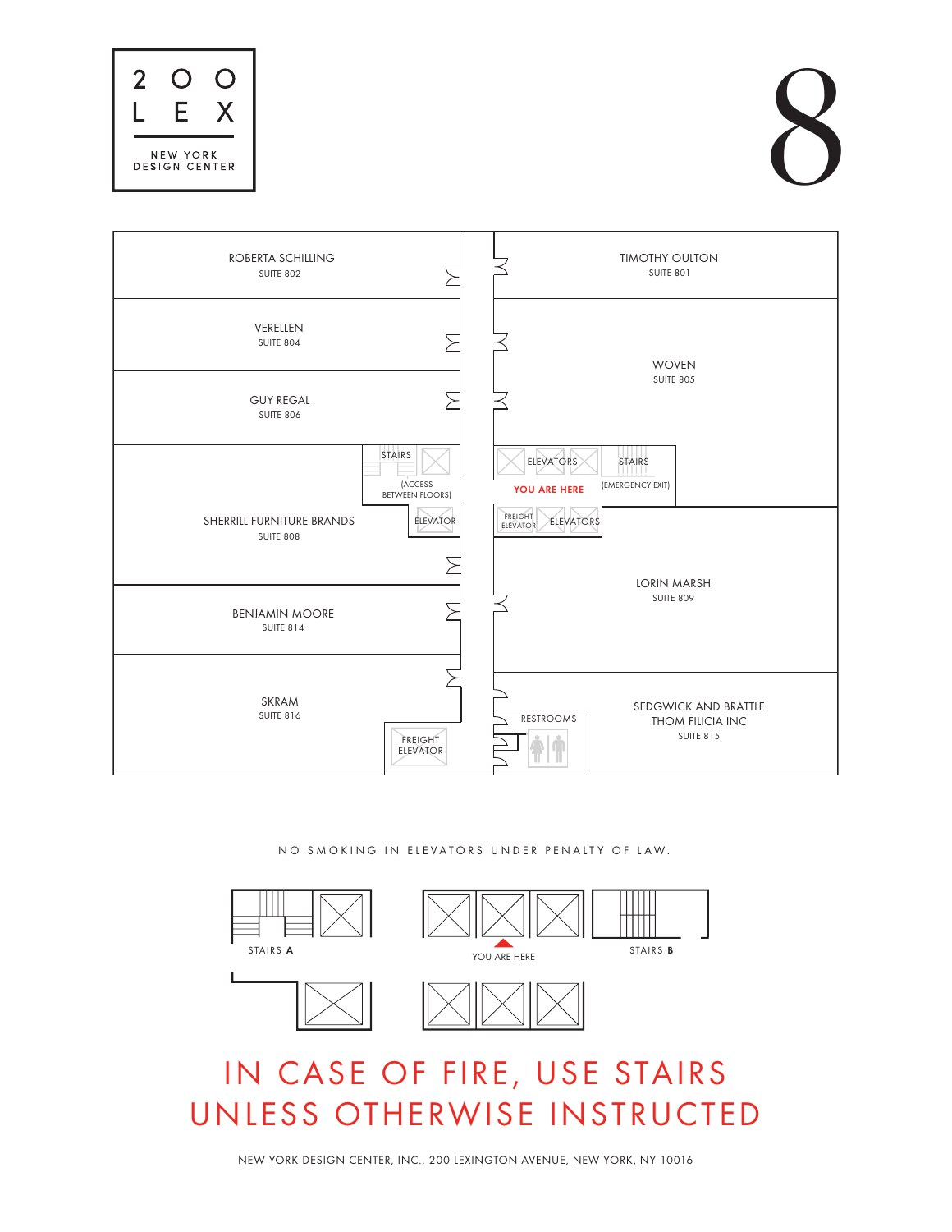NO SMOKING IN ELEVATORS UNDER PENALTY OF LAW.









| ROBERTA SCHILLING<br><b>SUITE 802</b>                                                                           | <b>TIMOTHY OULTON</b><br><b>SUITE 801</b>                                                                                       |
|-----------------------------------------------------------------------------------------------------------------|---------------------------------------------------------------------------------------------------------------------------------|
| <b>VERELLEN</b><br><b>SUITE 804</b>                                                                             | <b>WOVEN</b>                                                                                                                    |
| <b>GUY REGAL</b><br>SUITE 806                                                                                   | <b>SUITE 805</b>                                                                                                                |
| STAIRS<br><b>(ACCESS</b><br><b>BETWEEN FLOORS)</b><br>SHERRILL FURNITURE BRANDS<br>ELEVATOR<br><b>SUITE 808</b> | <b>ELEVATORS</b><br>STAIRS<br>(EMERGENCY EXIT)<br><b>YOU ARE HERE</b><br>FREIGHT<br><b>ELEVATORS</b><br>ELEVATOR<br>LORIN MARSH |
| <b>BENJAMIN MOORE</b><br><b>SUITE 814</b>                                                                       | <b>SUITE 809</b>                                                                                                                |
| $C1 \cap A$                                                                                                     |                                                                                                                                 |

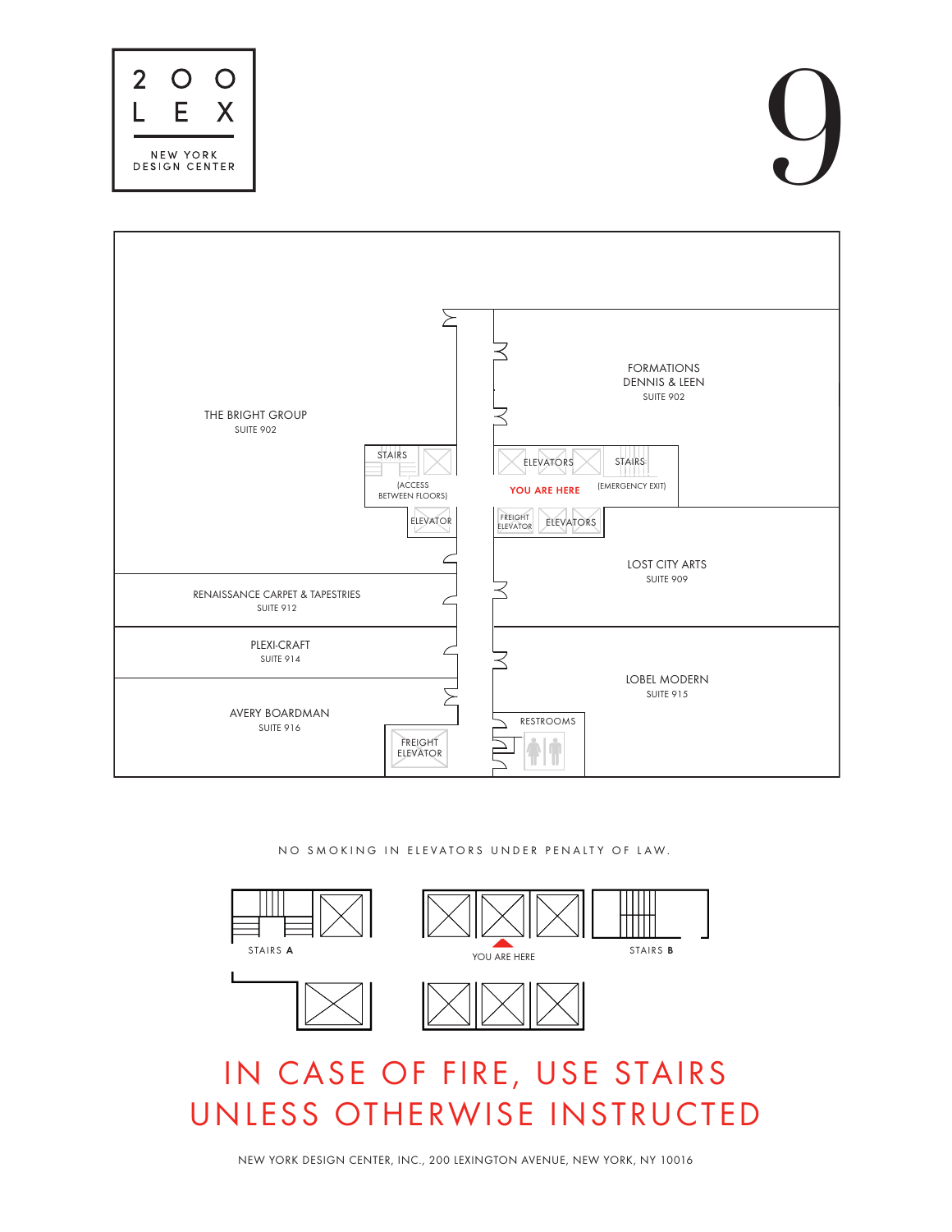NO SMOKING IN ELEVATORS UNDER PENALTY OF LAW.









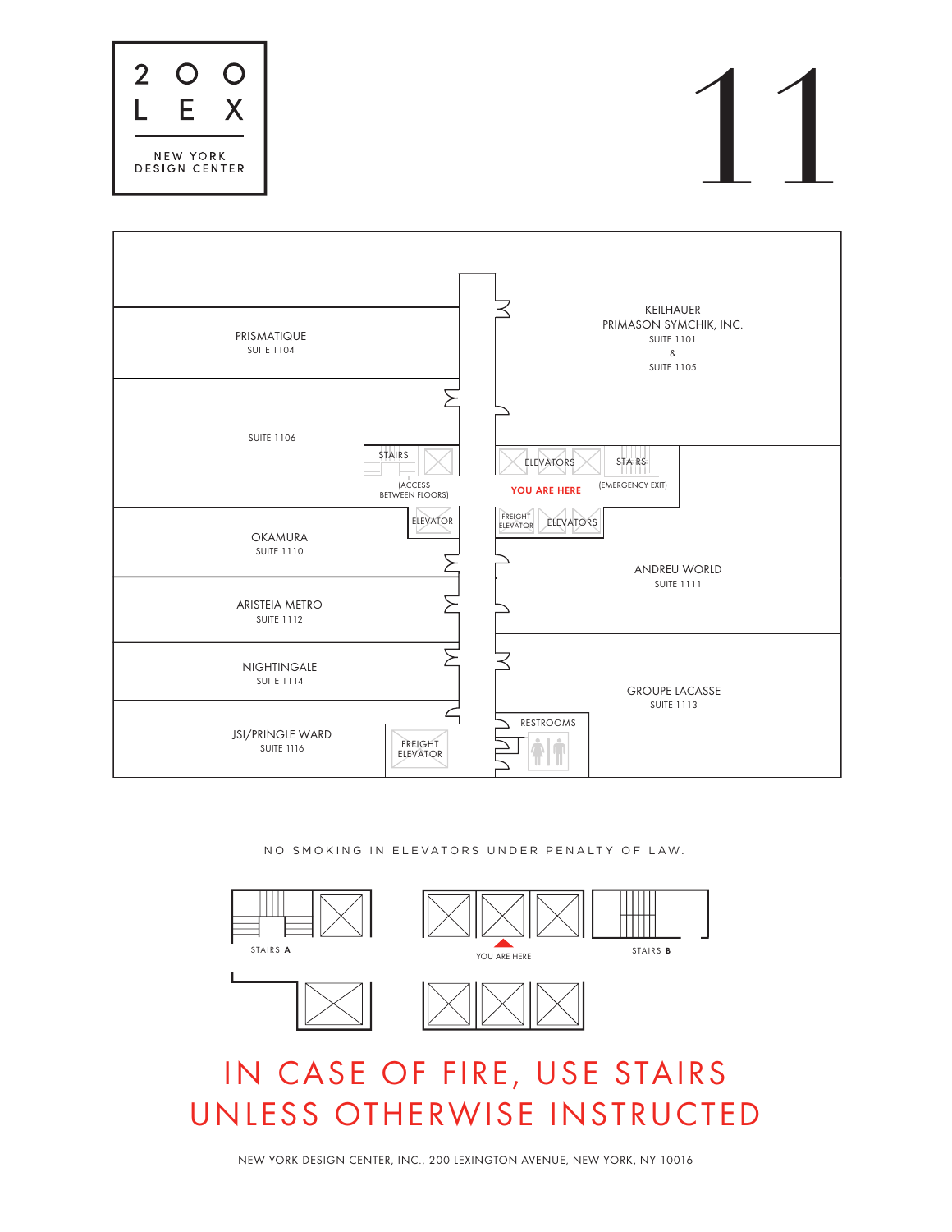NO SMOKING IN ELEVATORS UNDER PENALTY OF LAW.









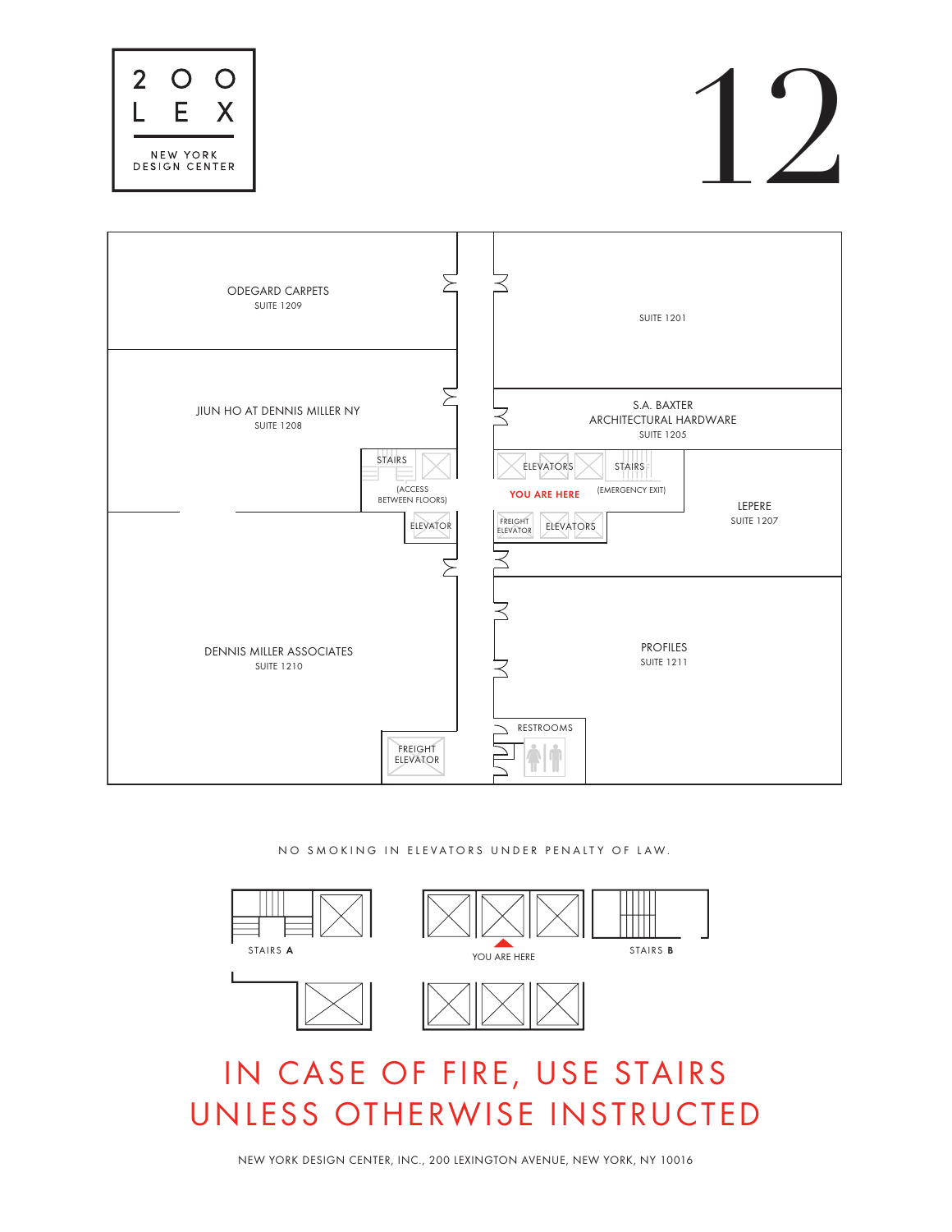NO SMOKING IN ELEVATORS UNDER PENALTY OF LAW.









| <b>ODEGARD CARPETS</b><br><b>SUITE 1209</b>                                                                        | <b>SUITE 1201</b>                                                                                                                                                                                      |
|--------------------------------------------------------------------------------------------------------------------|--------------------------------------------------------------------------------------------------------------------------------------------------------------------------------------------------------|
| JIUN HO AT DENNIS MILLER NY<br><b>SUITE 1208</b><br>STAIRS<br><b>(ACCESS</b><br><b>BETWEEN FLOORS)</b><br>ELEVATOR | S.A. BAXTER<br>ARCHITECTURAL HARDWARE<br><b>SUITE 1205</b><br><b>STAIRS</b><br><b>ELEVATORS</b><br>(EMERGENCY EXIT)<br>YOU ARE HERE<br>LEPERE<br>FREIGHT<br><b>SUITE 1207</b><br>ELEVATORS<br>ELEVATOR |
| DENNIS MILLER ASSOCIATES<br><b>SUITE 1210</b>                                                                      | <b>PROFILES</b><br><b>SUITE 1211</b>                                                                                                                                                                   |

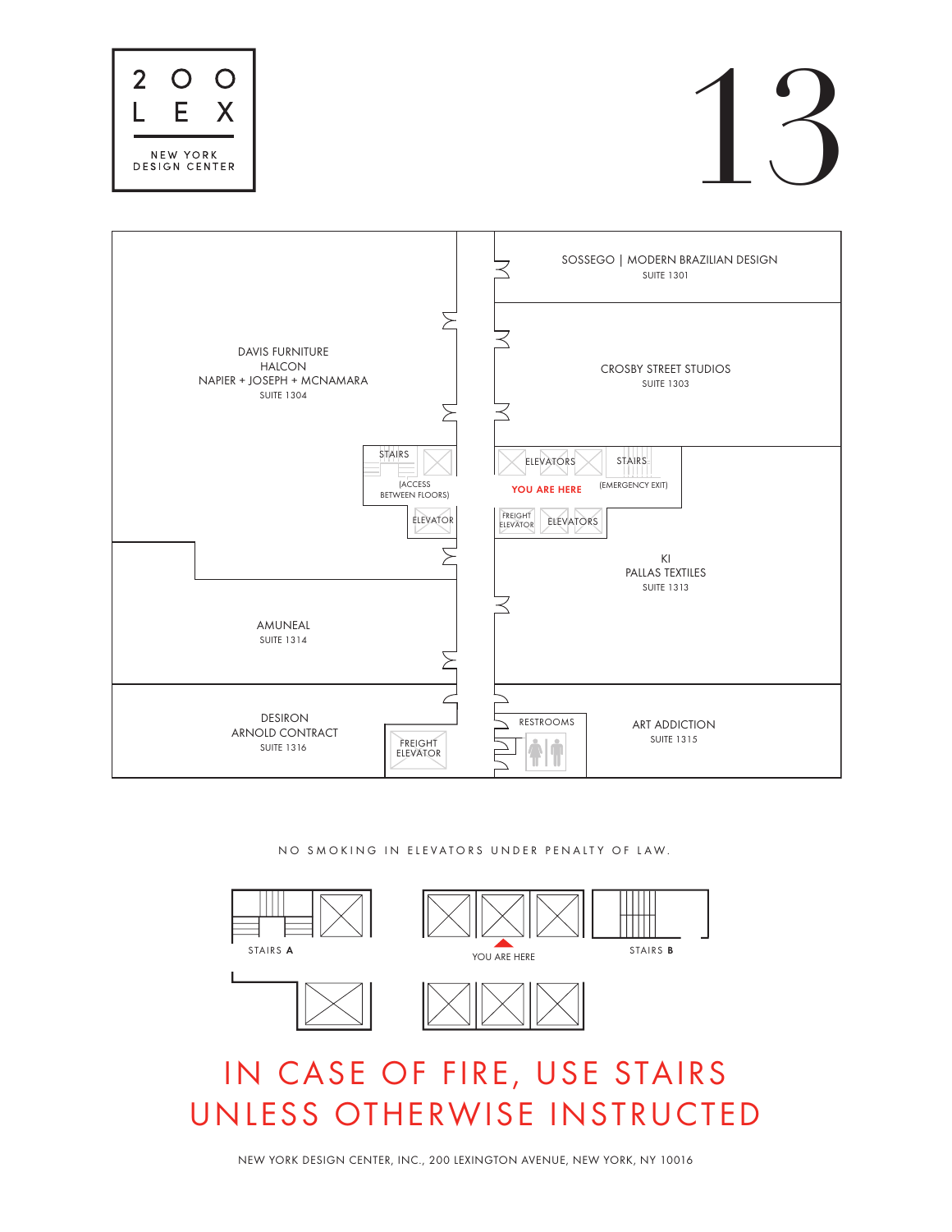NO SMOKING IN ELEVATORS UNDER PENALTY OF LAW.









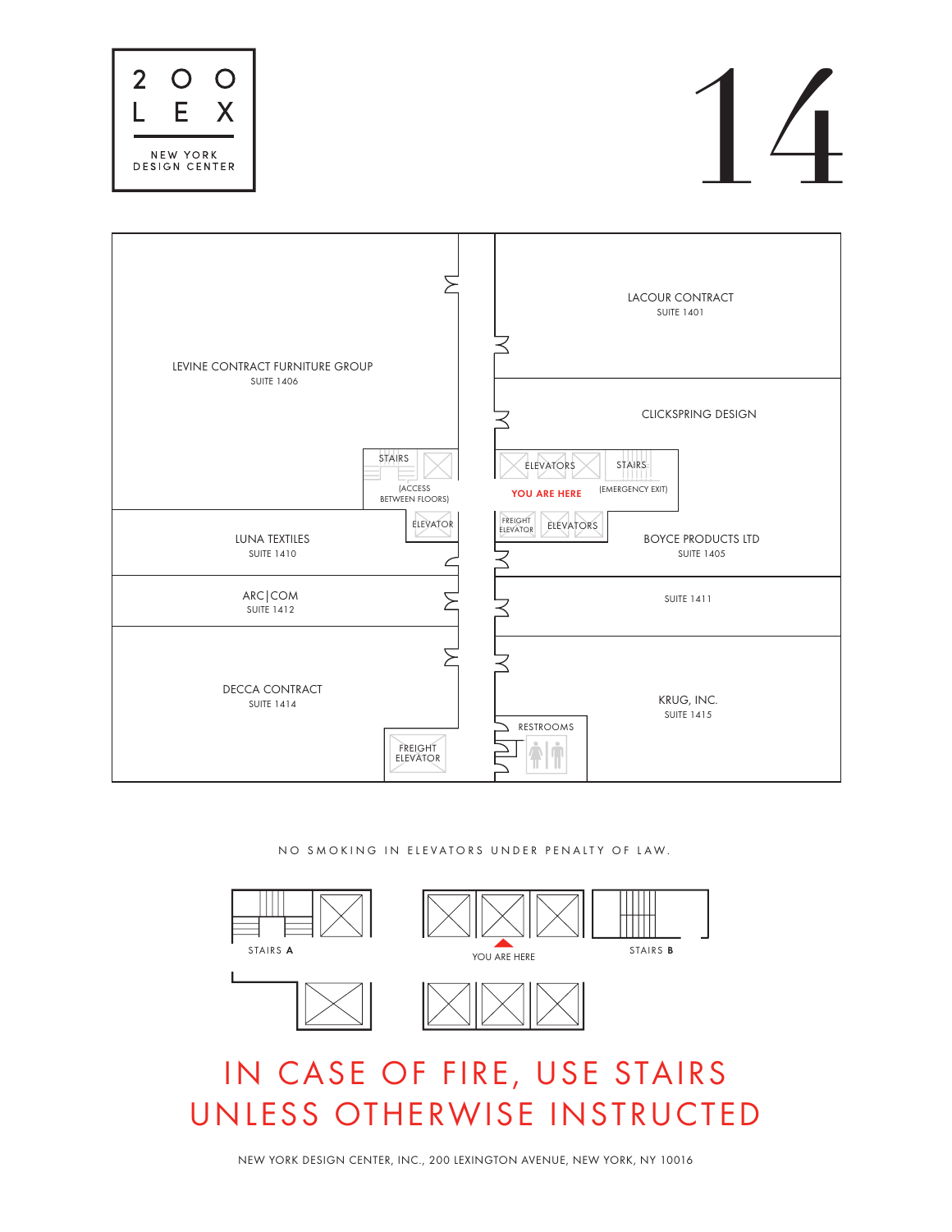NO SMOKING IN ELEVATORS UNDER PENALTY OF LAW.









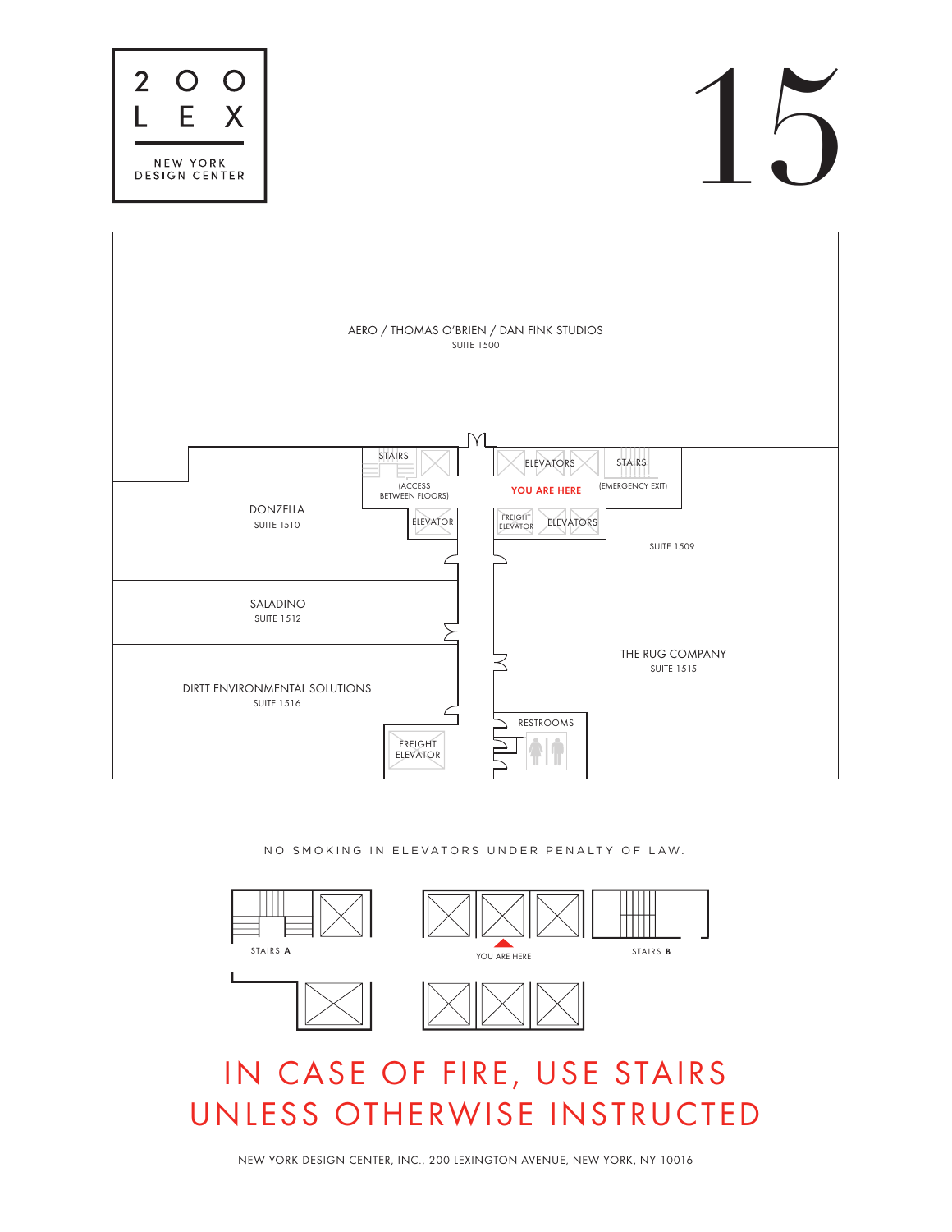NO SMOKING IN ELEVATORS UNDER PENALTY OF LAW.